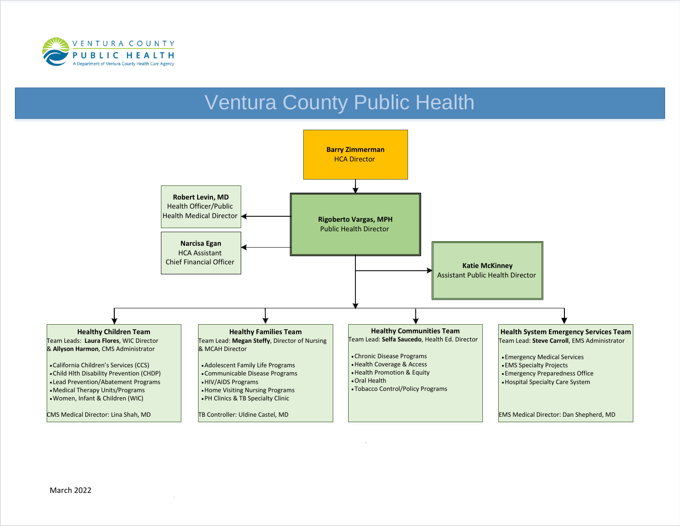

# Ventura County Public Health